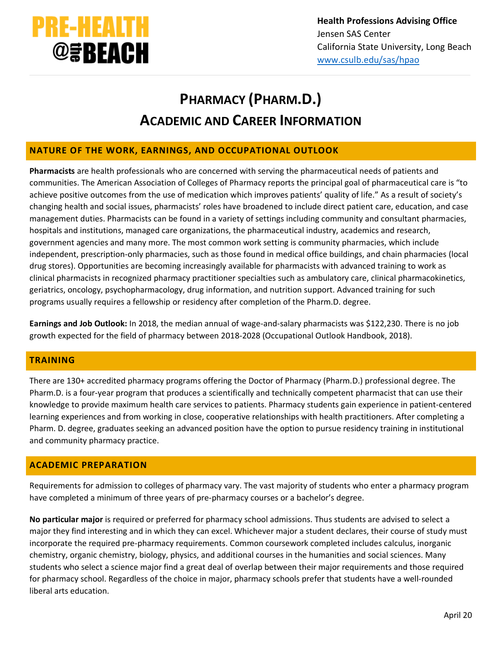

# **PHARMACY (PHARM.D.) ACADEMIC AND CAREER INFORMATION**

## **NATURE OF THE WORK, EARNINGS, AND OCCUPATIONAL OUTLOOK**

**Pharmacists** are health professionals who are concerned with serving the pharmaceutical needs of patients and communities. The American Association of Colleges of Pharmacy reports the principal goal of pharmaceutical care is "to achieve positive outcomes from the use of medication which improves patients' quality of life." As a result of society's changing health and social issues, pharmacists' roles have broadened to include direct patient care, education, and case management duties. Pharmacists can be found in a variety of settings including community and consultant pharmacies, hospitals and institutions, managed care organizations, the pharmaceutical industry, academics and research, government agencies and many more. The most common work setting is community pharmacies, which include independent, prescription-only pharmacies, such as those found in medical office buildings, and chain pharmacies (local drug stores). Opportunities are becoming increasingly available for pharmacists with advanced training to work as clinical pharmacists in recognized pharmacy practitioner specialties such as ambulatory care, clinical pharmacokinetics, geriatrics, oncology, psychopharmacology, drug information, and nutrition support. Advanced training for such programs usually requires a fellowship or residency after completion of the Pharm.D. degree.

**Earnings and Job Outlook:** In 2018, the median annual of wage-and-salary pharmacists was \$122,230. There is no job growth expected for the field of pharmacy between 2018-2028 (Occupational Outlook Handbook, 2018).

# **TRAINING**

There are 130+ accredited pharmacy programs offering the Doctor of Pharmacy (Pharm.D.) professional degree. The Pharm.D. is a four-year program that produces a scientifically and technically competent pharmacist that can use their knowledge to provide maximum health care services to patients. Pharmacy students gain experience in patient-centered learning experiences and from working in close, cooperative relationships with health practitioners. After completing a Pharm. D. degree, graduates seeking an advanced position have the option to pursue residency training in institutional and community pharmacy practice.

# **ACADEMIC PREPARATION**

Requirements for admission to colleges of pharmacy vary. The vast majority of students who enter a pharmacy program have completed a minimum of three years of pre-pharmacy courses or a bachelor's degree.

**No particular major** is required or preferred for pharmacy school admissions. Thus students are advised to select a major they find interesting and in which they can excel. Whichever major a student declares, their course of study must incorporate the required pre-pharmacy requirements. Common coursework completed includes calculus, inorganic chemistry, organic chemistry, biology, physics, and additional courses in the humanities and social sciences. Many students who select a science major find a great deal of overlap between their major requirements and those required for pharmacy school. Regardless of the choice in major, pharmacy schools prefer that students have a well-rounded liberal arts education.